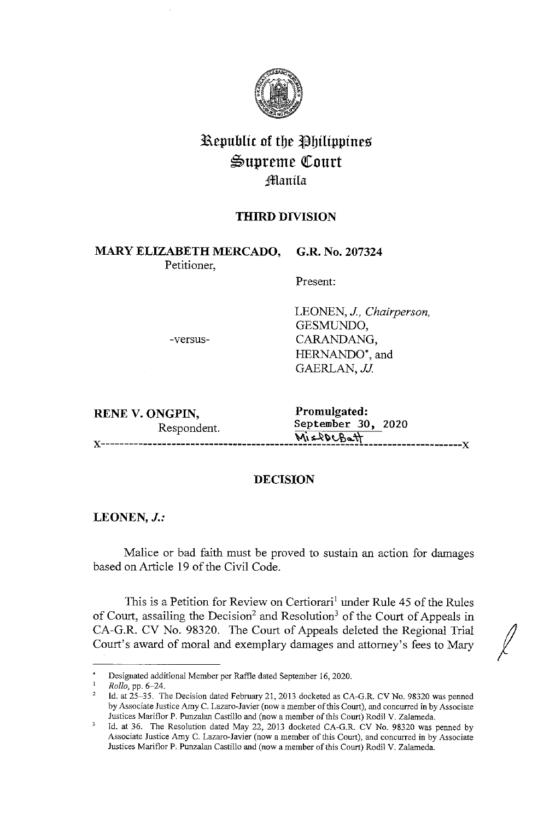

# **~epublic of tbe ~bilippineg**   $\mathfrak{S}$ upreme Court **;ffiantla**

# **THIRD DIVISION**

**MARY ELIZABETH MERCADO, G.R. No. 207324** 

Petitioner,

Present:

-versus-

LEONEN, *J., Chairperson,*  GESMUNDO, CARANDANG, HERNANDO\*, and GAERLAN, *JJ.* 

**RENE V. ONGPIN, Promulgated:** Respondent. September 30, 2020<br> $N_1 \leq N_2 \leq N_3$ **\A,.\** ~~~'o **....** <sup>~</sup>x-----------------------------------------------------------------------------x

# **DECISION**

**LEONEN,** *J.:* 

Malice or bad faith must be proved to sustain an action for damages based on Article 19 of the Civil Code.

This is a Petition for Review on Certiorari<sup>1</sup> under Rule 45 of the Rules of Court, assailing the Decision<sup>2</sup> and Resolution<sup>3</sup> of the Court of Appeals in This is a Petition for Review on Certiorari<sup>1</sup> under Rule 45 of the Rules<br>of Court, assailing the Decision<sup>2</sup> and Resolution<sup>3</sup> of the Court of Appeals in<br>CA-G.R. CV No. 98320. The Court of Appeals deleted the Regional Tri Court's award of moral and exemplary damages and attorney's fees to Mary

Designated additional Member per Raffle dated September 16, 2020.

Rollo, pp. 6-24.

<sup>2</sup>  Id. at 25-35. The Decision dated February 21, 2013 docketed as CA-G.R. CV No. 98320 was penned by Associate Justice Amy C. Lazaro-Javier (now a member of this Court), and concurred in by Associate Justices Mariflor P. Punzalan Castillo and (now a member of this Court) Rodil V. Zalameda.

<sup>3</sup>  Id. at 36. The Resolution dated May 22, 2013 docketed CA-G.R. CV No. 98320 was penned by Associate Justice Amy C. Lazaro-Javier (now a member of this Court), and concurred in by Associate Justices Mariflor P. Punzalan Castillo and (now a member of this Court) Rodil V. Zalameda.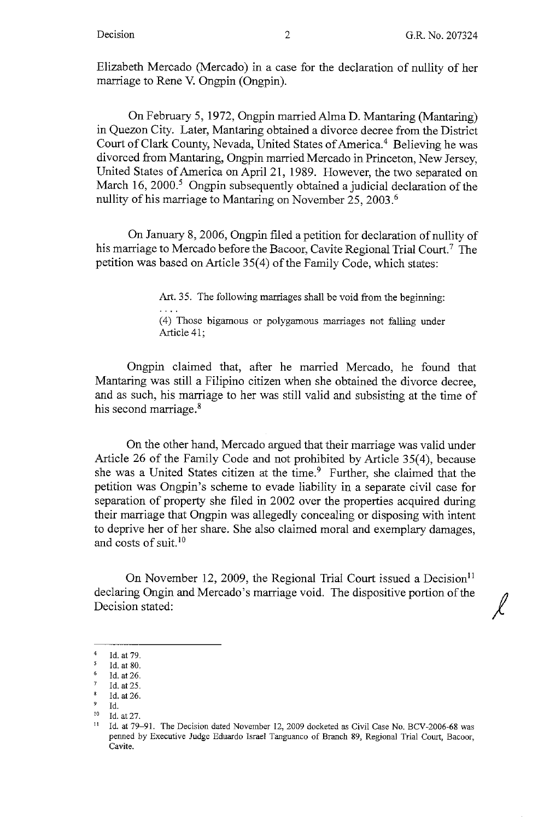Elizabeth Mercado (Mercado) in a case for the declaration of nullity of her marriage to Rene V. Ongpin (Ongpin).

On February 5, 1972, Ongpin married Alma **D.** Mantaring (Mantaring) in Quezon City. Later, Mantaring obtained a divorce decree from the District Court of Clark County, Nevada, United States of America.<sup>4</sup> Believing he was divorced from Mantaring, Ongpin married Mercado in Princeton, New Jersey, United States of America on April 21, 1989. However, the two separated on March  $16$ ,  $2000$ .<sup>5</sup> Ongpin subsequently obtained a judicial declaration of the nullity of his marriage to Mantaring on November 25, 2003. <sup>6</sup>

On January 8, 2006, Ongpin filed a petition for declaration of nullity of his marriage to Mercado before the Bacoor, Cavite Regional Trial Court.<sup>7</sup> The petition was based on Article 35(4) of the Family Code, which states:

> Art. 35. The following marriages shall be void from the beginning: (4) Those bigamous or polygamous marriages not falling under Article 41;

Ongpin claimed that, after he married Mercado, he found that Mantaring was still a Filipino citizen when she obtained the divorce decree, and as such, his marriage to her was still valid and subsisting at the time of his second marriage.<sup>8</sup>

On the other hand, Mercado argued that their marriage was valid under Article 26 of the Family Code and not prohibited by Article 35(4), because she was a United States citizen at the time.<sup>9</sup> Further, she claimed that the petition was Ongpin's scheme to evade liability in a separate civil case for separation of property she filed in 2002 over the properties acquired during their marriage that Ongpin was allegedly concealing or disposing with intent to deprive her of her share. She also claimed moral and exemplary damages, and costs of suit. <sup>10</sup>

On November 12, 2009, the Regional Trial Court issued a Decision<sup>11</sup> declaring Ongin and Mercado's marriage void. The dispositive portion of the Decision stated:

 $^{4}$  Id. at 79.

 $\frac{5}{6}$  Id. at 80.

 $\frac{6}{7}$  Id. at 26.

 $\frac{7}{8}$  Id. at 25.

 $^{8}$  Id. at 26.

 $\frac{9}{10}$  Id.<br> $\frac{10}{10}$  Id. at 27.

<sup>&</sup>lt;sup>11</sup> Id. at 79-91. The Decision dated November 12, 2009 docketed as Civil Case No. BCV-2006-68 was penned by Executive Judge Eduardo Israel Tanguanco of Branch 89, Regional Trial Court, Bacoor, Cavite.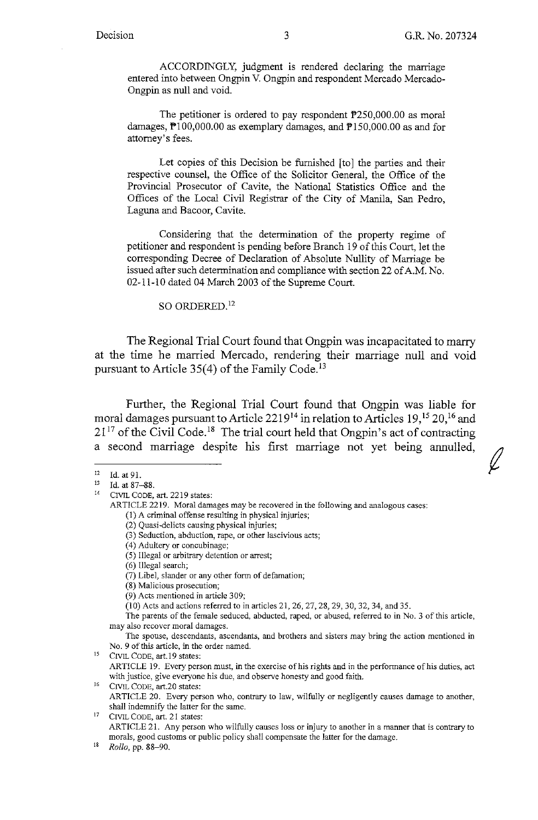ACCORDINGLY, judgment is rendered declaring the marriage entered into between Ongpin V. Ongpin and respondent Mercado Mercado-Ongpin as null and void.

The petitioner is ordered to pay respondent P250,000.00 as moral damages, PI00,000.00 as exemplary damages, and PIS0,000.00 as and for attorney's fees.

Let copies of this Decision be furnished [to] the parties and their respective counsel, the Office of the Solicitor General, the Office of the Provincial Prosecutor of Cavite, the National Statistics Office and the Offices of the Local Civil Registrar of the City of Manila, San Pedro, Laguna and Bacoor, Cavite.

Considering that the determination of the property regime of petitioner and respondent is pending before Branch 19 of this Court, let the corresponding Decree of Declaration of Absolute Nullity of Marriage be issued after such determination and compliance with section 22 of A.M. No. 02-11-10 dated 04 March 2003 of the Supreme Court.

SO ORDERED.<sup>12</sup>

The Regional Trial Court found that Ongpin was incapacitated to marry at the time he married Mercado, rendering their marriage null and void pursuant to Article  $35(4)$  of the Family Code.<sup>13</sup>

Further, the Regional Trial Court found that Ongpin was liable for moral damages pursuant to Article 2219<sup>14</sup> in relation to Articles 19,<sup>15</sup> 20,<sup>16</sup> and  $21<sup>17</sup>$  of the Civil Code.<sup>18</sup> The trial court held that Ongpin's act of contracting a second marriage despite his first marriage not yet being annulled,

(I) A criminal offense resulting in physical injuries;

- (2) Quasi-delicts causing physical injuries;
- **(3) Seduction, abduction, rape, or other lascivious acts;**

- (5) Illegal or arbitrary detention or arrest;
- (6) Illegal search;
- (7) Libel, slander or any other form of defamation;
- (8) Malicious prosecution;
- (9) Acts mentioned in article 309;
- (10) Acts and actions referred to in articles 21, 26, 27, 28, 29, 30, 32, 34, and 35.
- The parents of the female seduced, abducted, raped, or abused, referred to in No. 3 of this article, **may also recover moral damages.**

**The spouse, descendants, ascendants, and brothers and sisters may bring the action mentioned in** 

No. 9 of this article, in the order named.<br><sup>15</sup> CIVIL CODE, art.19 states: ARTICLE 19. Every person must, in the exercise of his rights and in the performance of his duties, act with justice, give everyone his due, and observe honesty and good faith.

16 CIVIL CODE, art.20 states: ARTICLE 20. Every person who, contrary to law, wilfully or negligently causes damage to another, shall indemnify the latter for the same.

<sup>17</sup> CIVIL CODE, art. 21 states: ARTICLE 21. Any person who wilfully causes loss or injury to another in a manner that is contrary to morals, good customs or public policy shall compensate the latter for the damage.

18 *Rollo,* pp. 88-90.

 $12$  Id. at 91.<br> $13$  Id. at 87-88.

<sup>&</sup>lt;sup>14</sup> CIVIL CODE, art. 2219 states:

ARTICLE 2219. Moral damages may be recovered in the following and analogous cases:

<sup>(4)</sup> Adultery or concubinage;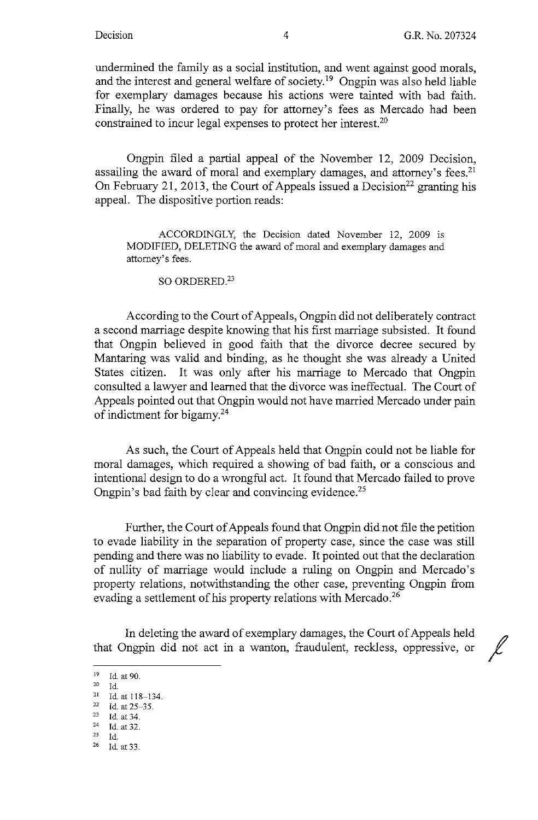undermined the family as a social institution, and went against good morals, and the interest and general welfare of society.<sup>19</sup> Ongpin was also held liable for exemplary damages because his actions were tainted with bad faith. Finally, he was ordered to pay for attorney's fees as Mercado had been constrained to incur legal expenses to protect her interest.<sup>20</sup>

Ongpin filed a partial appeal of the November 12, 2009 Decision, assailing the award of moral and exemplary damages, and attorney's fees.<sup>21</sup> On February 21, 2013, the Court of Appeals issued a Decision<sup>22</sup> granting his appeal. The dispositive portion reads:

ACCORDINGLY, the Decision dated November 12, 2009 is MODIFIED, DELETING the award of moral and exemplary damages and attorney's fees.

SO ORDERED.<sup>23</sup>

According to the Court of Appeals, Ongpin did not deliberately contract a second marriage despite knowing that his first marriage subsisted. It found that Ongpin believed in good faith that the divorce decree secured by Mantaring was valid and binding, as he thought she was already a United States citizen. It was only after his marriage to Mercado that Ongpin consulted a lawyer and learned that the divorce was ineffectual. The Court of Appeals pointed out that Ongpin would not have married Mercado under pain of indictment for bigamy.24

As such, the Court of Appeals held that Ongpin could not be liable for moral damages, which required a showing of bad faith, or a conscious and intentional design to do a wrongful act. It found that Mercado failed to prove Ongpin's bad faith by clear and convincing evidence.<sup>25</sup>

Further, the Court of Appeals found that Ongpin did not file the petition to evade liability in the separation of property case, since the case was still pending and there was no liability to evade. It pointed out that the declaration of nullity of marriage would include a ruling on Ongpin and Mercado's property relations, notwithstanding the other case, preventing Ongpin from evading a settlement of his property relations with Mercado.<sup>26</sup>

In deleting the award of exemplary damages, the Court of Appeals held that Ongpin did not act in a wanton, fraudulent, reckless, oppressive, or /

- $\frac{23}{24}$  Id. at 34.<br>
1d. at 32.
- 2s Id.

 $\frac{19}{20}$  Id. at 90.

Id.

<sup>&</sup>lt;sup>21</sup> Id. at 118-134.

 $\frac{22}{23}$  Id. at 25-35.

<sup>26</sup> Id. at 33.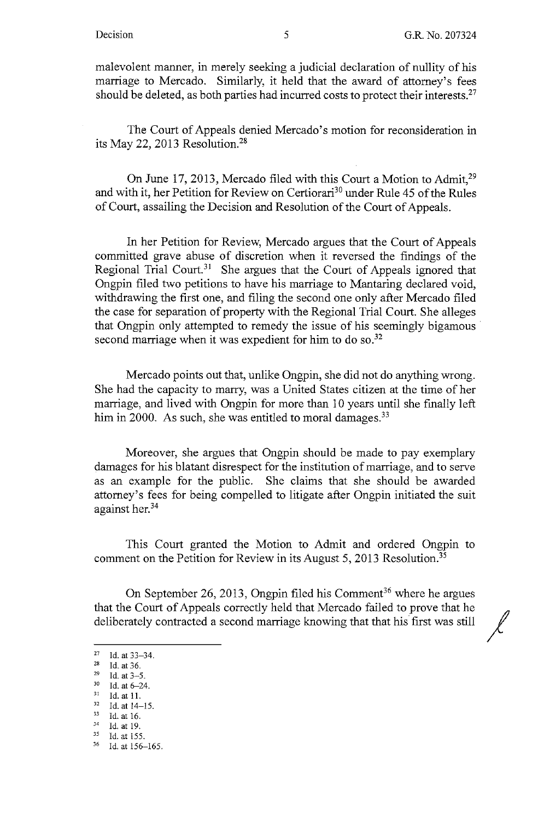malevolent manner, in merely seeking a judicial declaration of nullity of his marriage to Mercado. Similarly, it held that the award of attorney's fees should be deleted, as both parties had incurred costs to protect their interests.<sup>27</sup>

The Court of Appeals denied Mercado's motion for reconsideration in its May 22, 2013 Resolution.28

On June 17, 2013, Mercado filed with this Court a Motion to Admit,<sup>29</sup> and with it, her Petition for Review on Certiorari<sup>30</sup> under Rule 45 of the Rules of Court, assailing the Decision and Resolution of the Court of Appeals.

In her Petition for Review, Mercado argues that the Court of Appeals committed grave abuse of discretion when it reversed the findings of the Regional Trial Court.<sup>31</sup> She argues that the Court of Appeals ignored that Ongpin filed two petitions to have his marriage to Mantaring declared void, withdrawing the first one, and filing the second one only after Mercado filed the case for separation of property with the Regional Trial Court. She alleges that Ongpin only attempted to remedy the issue of his seemingly bigamous second marriage when it was expedient for him to do so.<sup>32</sup>

Mercado points out that, unlike Ongpin, she did not do anything wrong. She had the capacity to marry, was a United States citizen at the time of her marriage, and lived with Ongpin for more than 10 years until she finally left him in 2000. As such, she was entitled to moral damages.<sup>33</sup>

Moreover, she argues that Ongpin should be made to pay exemplary damages for his blatant disrespect for the institution of marriage, and to serve as an example for the public. She claims that she should be awarded attorney's fees for being compelled to litigate after Ongpin initiated the suit against her. 34

This Court granted the Motion to Admit and ordered Ongpin to comment on the Petition for Review in its August 5, 2013 Resolution.<sup>35</sup>

On September 26, 2013, Ongpin filed his Comment<sup>36</sup> where he argues that the Court of Appeals correctly held that Mercado failed to prove that he deliberately contracted a second marriage knowing that that his first was still

<sup>27</sup> Id. at  $33-34$ .<br>
28 Id. at  $36$ .<br>
29 Id. at  $35$ .

<sup>29</sup> Id. at 3-5.<br>
30 Id. at 6-24.<br>
31 Id. at 11.<br>
32 Id. at 14-15.<br>
<sup>33</sup> Id. at 16.<br>
<sup>34</sup> Id. at 19.

<sup>&</sup>lt;sup>35</sup> Id. at 155.

<sup>36</sup> Id. at 156-165.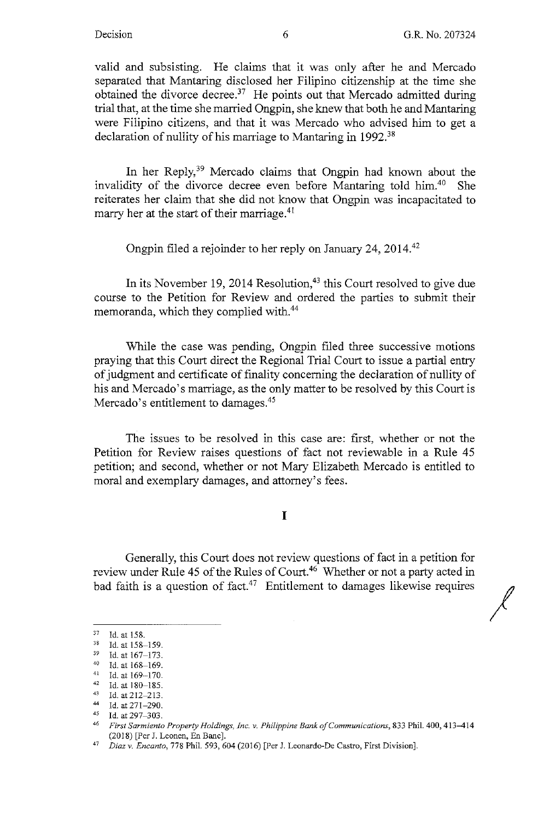*I* 

valid and subsisting. He claims that it was only after he and Mercado separated that Mantaring disclosed her Filipino citizenship at the time she obtained the divorce decree.<sup>37</sup> He points out that Mercado admitted during trial that, at the time she married Ongpin, she knew that both he and Mantaring were Filipino citizens, and that it was Mercado who advised him to get a declaration of nullity of his marriage to Mantaring in 1992.<sup>38</sup>

In her Reply,<sup>39</sup> Mercado claims that Ongpin had known about the invalidity of the divorce decree even before Mantaring told him.40 She reiterates her claim that she did not know that Ongpin was incapacitated to marry her at the start of their marriage.<sup>41</sup>

Ongpin filed a rejoinder to her reply on January 24, 2014.42

In its November 19, 2014 Resolution, $43$  this Court resolved to give due course to the Petition for Review and ordered the parties to submit their memoranda, which they complied with.<sup>44</sup>

While the case was pending, Ongpin filed three successive motions praying that this Court direct the Regional Trial Court to issue a partial entry of judgment and certificate of finality concerning the declaration of nullity of his and Mercado's marriage, as the only matter to be resolved by this Court is Mercado's entitlement to damages.<sup>45</sup>

The issues to be resolved in this case are: first, whether or not the Petition for Review raises questions of fact not reviewable in a Rule 45 petition; and second, whether or not Mary Elizabeth Mercado is entitled to moral and exemplary damages, and attorney's fees.

I

Generally, this Court does not review questions of fact in a petition for review under Rule 45 of the Rules of Court.<sup>46</sup> Whether or not a party acted in bad faith is a question of fact.<sup>47</sup> Entitlement to damages likewise requires

<sup>37</sup> Id. at 158.<br>38 Id. at 158-159.<br>39 Id. at 167-173.<br>40 Id. at 168-169.<br>41 Id. at 169.170.

<sup>41</sup> Id. at  $169-170$ .<br>
42 Id. at  $180-185$ .<br>
44 Id. at  $212-213$ .

<sup>44</sup>Id. at 271-290. 45 Id. at 297-303. 46 *First Sarmiento Property Holdings, Inc. v. Philippine Bank of Communications,* 833 Phil. 400, 413-414 (2018) [Per J. Leonen, En Banc]. 47 *Diaz v. Encanto,* 778 Phil. 593,604 (2016) [Per J. Leonardo-De Castro, First Division].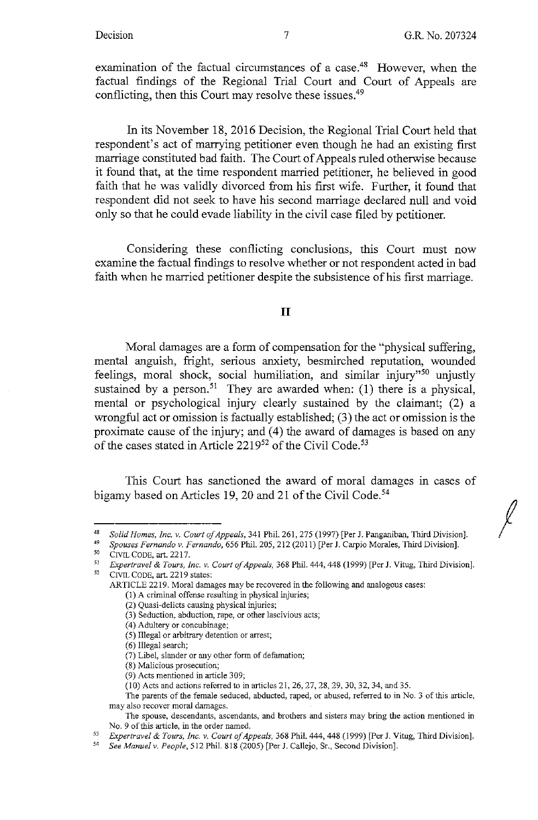*I* 

examination of the factual circumstances of a case.<sup>48</sup> However, when the factual findings of the Regional Trial Court and Court of Appeals are conflicting, then this Court may resolve these issues.<sup>49</sup>

In its November 18, 2016 Decision, the Regional Trial Court held that respondent's act of marrying petitioner even though he had an existing first marriage constituted bad faith. The Court of Appeals ruled otherwise because it found that, at the time respondent married petitioner, he believed in good faith that he was validly divorced from his first wife. Further, it found that respondent did not seek to have his second marriage declared null and void only so that he could evade liability in the civil case filed by petitioner.

Considering these conflicting conclusions, this Court must now examine the factual findings to resolve whether or not respondent acted in bad faith when he married petitioner despite the subsistence of his first marriage.

#### II

Moral damages are a form of compensation for the "physical suffering, mental anguish, fright, serious anxiety, besmirched reputation, wounded feelings, moral shock, social humiliation, and similar injury"50 unjustly sustained by a person.<sup>51</sup> They are awarded when: (1) there is a physical, mental or psychological injury clearly sustained by the claimant; (2) a wrongful act or omission is factually established; (3) the act or omission is the proximate cause of the injury; and (4) the award of damages is based on any of the cases stated in Article 2219<sup>52</sup> of the Civil Code.<sup>53</sup>

This Court has sanctioned the award of moral damages in cases of bigamy based on Articles 19, 20 and 21 of the Civil Code.<sup>54</sup>

- (1) A criminal offense resulting in physical injuries;
- (2) Quasi-delicts causing physical injuries;
- (3) Seduction, abduction, rape, or other lascivious acts;
- (4) Adultery or concubinage;
- (5) Illegal or arbitrary detention or arrest;
- (6) Illegal search;
- (7) Libel, slander or any other form of defamation;
- (8) Malicious prosecution;
- (9) Acts mentioned in article 309;
- (10) Acts and actions referred to in articles 21, 26, 27, 28, 29, 30, 32, 34, and 35.

<sup>48</sup>*Solid Homes, Inc. v. Court of Appeals,* 341 Phil. 261,275 (1997) [Per J. Panganiban, Third Division]. 49 *Spouses Fernando v. Fernando,* 656 Phil. 205,212 (201 I) [Per J. Carpio Morales, Third Division].

<sup>50</sup> CIVIL CODE, art. 2217.<br><sup>51</sup> *Expertravel & Tours, Inc. v. Court of Appeals,* 368 Phil. 444, 448 (1999) [Per J. Vitug, Third Division].<br><sup>52</sup> CIVIL CODE art. 2219 states:

CIVIL CODE, art. 2219 states:

ARTICLE 2219. Moral damages may be recovered in the following and analogous cases:

The parents of the female seduced, abducted, raped, or abused, referred to in No. 3 of this article, **may also recover moral damages.** 

**The spouse, descendants, ascendants, and brothers and sisters may bring the action mentioned in**  No. 9 of this article, in the order named.

<sup>53</sup>*Expertravel & Tours, Inc. v. Cowl of Appeals,* 368 Phil. 444, 448 (I 999) [Per J. Vitug, Third Division]. 54 See *Manuel v. People,* 512 Phil. 818 (2005) [Per J. Callejo, Sr., Second Division J.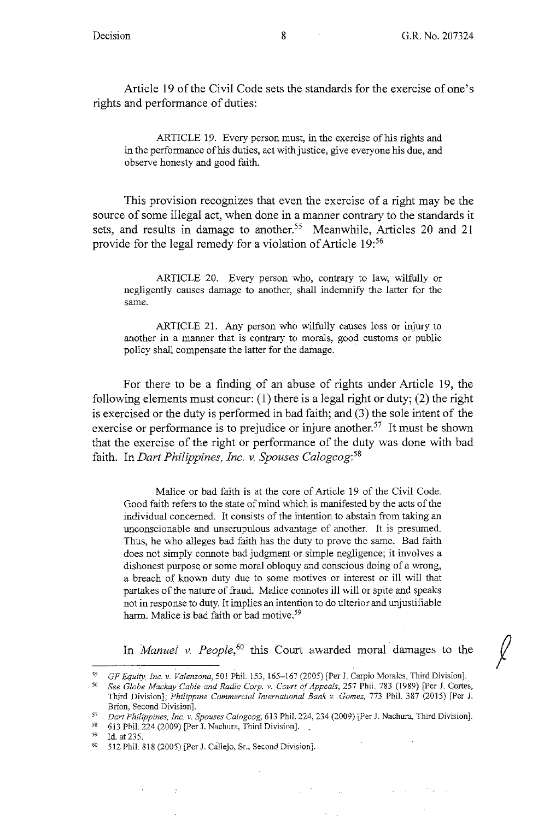Article 19 of the Civil Code sets the standards for the exercise of one's rights and performance of duties:

ARTICLE 19. Every person must, in the exercise of his rights and in the performance of his duties, act with justice, give everyone his due, and observe honesty and good faith.

This provision recognizes that even the exercise of a right may be the source of some illegal act, when done in a manner contrary to the standards it sets, and results in damage to another.<sup>55</sup> Meanwhile, Articles 20 and 21 provide for the legal remedy for a violation of Article 19:<sup>56</sup>

ARTICLE 20. Every person who, contrary to law, wilfully or negligently causes damage to another, shall indemnify the latter for the same.

ARTICLE 21. Any person who wilfully causes loss or injury to another in a manner that is contrary to morals, good customs or public policy shall compensate the latter for the damage.

For there to be a finding of an abuse of rights under Article 19, the following elements must concur: (1) there is a legal right or duty; (2) the right is exercised or the duty is performed in bad faith; and (3) the sole intent of the exercise or performance is to prejudice or injure another.<sup>57</sup> It must be shown that the exercise of the right or performance of the duty was done with bad faith. In *Dart Philippines, Inc. v. Spouses Calogcog: <sup>58</sup>*

Malice or bad faith is at the core of Article 19 of the Civil Code. Good faith refers to the state of mind which is manifested by the acts of the individual concerned. It consists of the intention to abstain from taking an unconscionable and unscrupulous advantage of another. It is presumed. Thus, he who alleges bad faith has the duty to prove the same. Bad faith does not simply connote bad judgment or simple negligence; it involves a dishonest purpose or some moral obloquy and conscious doing of a wrong, a breach of known duty due to some motives or interest or ill will that partakes of the natme of fraud. Malice connotes ill will or spite and speaks not in response to duty. It implies an intention to do ulterior and unjustifiable harm. Malice is bad faith or bad motive.<sup>59</sup>

In *Manuel v. People*,<sup>60</sup> this Court awarded moral damages to the

 $\mathcal{A}=\{x_1,\ldots,x_n\}$  .

<sup>58</sup> 613 Phil. 224 (2009) [Per J. Nachura, Third Division].

<sup>55</sup> *GF Equity. Inc. v. Valenzona,* 501 Phil. 153, 165-167 (2005) [Per J. Carpio Morales, Third Division].

<sup>&</sup>lt;sup>56</sup> See Globe Mackay Cable and Radic Corp. v. Court of Appeals, 257 Phil. 783 (1989) [Per J. Cortes, Third Division]; *Philippine Commerciai International Bank v. Gomez,* 773 Phil. 387 (2015) [Per J. Brion, Second Division].

s·, *Dcrt Philippines, Inc. v. Spouses Calogcog,* 613 Phil. 224,234 (2009) [Per J. Nachura, Third Division].

 $59$  Id. at 235. 60 512 Phil. 818 (2005) [Per J. Callejo, Sr., Second Division].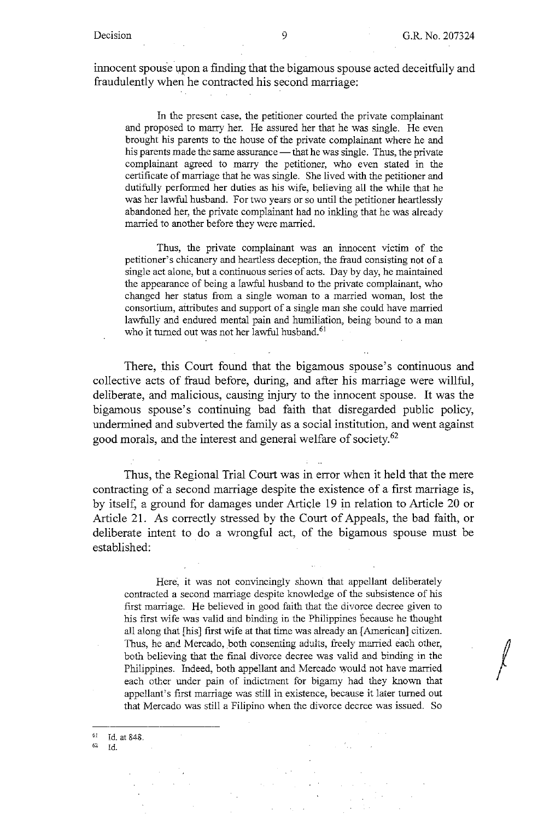$\int$ 

innocent spouse upon a finding that the bigamous spouse acted deceitfully and fraudulently when he contracted his second marriage:

In the present case, the petitioner courted the private complainant and proposed to marry her. He assured her that he was single. He even brought his parents to the house of the private complainant where he and his parents made the same assurance - that he was single. Thus, the private complainant agreed to marry the petitioner, who even stated in the certificate of marriage that he was single. She lived with the petitioner and dutifully performed her duties as his wife, believing all the while that he was her lawful husband. For two years or so until the petitioner heartlessly abandoned her, the private complainant had no inkling that he was already married to another before they were married.

Thus, the private complainant was an innocent victim of the petitioner's chicanery and heartless deception, the fraud consisting not of a single act alone, but a continuous series of acts. Day by day, he maintained the appearance of being a lawful husband to the private complainant, who changed her status from a single woman to a married woman, lost the consortium, attributes and support of a single man she could have married lawfully and endured mental pain and humiliation, being bound to a man who it turned out was not her lawful husband.<sup>61</sup>

There, this Court found that the bigamous spouse's continuous and collective acts of fraud before, during, and after his marriage were willful, deliberate, and malicious, causing injury to the innocent spouse. It was the bigamous spouse's continuing bad faith that disregarded public policy, undermined and subverted the family as a social institution, and went against good morals, and the interest and general welfare of society. 62

Thus, the Regional Trial Court was in error when it held that the mere contracting of a second marriage despite the existence of a first marriage is, by itself, a ground for damages under Article 19 in relation to Article 20 or Article 21. As correctly stressed by the Court of Appeals, the bad faith, or deliberate intent to do a wrongful act, of the bigamous spouse must be established:

Here, it was not convincingly shown that appellant deliberately contracted a second marriage despite knowledge of the subsistence of his first marriage. He believed in good faith that the divorce decree given to his first wife was valid and binding in the Philippines because he thought all along that [his] first wife at that time was already an [American] citizen. Thus, he and Mercado, both consenting adults, freely married each other, both believing that the final divorce decree was valid and binding in the Philippines. Indeed, both appellant and Mercado would not have married each other under pain of indictment for bigamy had they known that appellant's first marriage was still in existence, because it later turned out that Mercado was still a Filipino when the divorce decree was issued. So

<sup>62</sup>Id.

 $61$  $^{61}$  Id. at 848.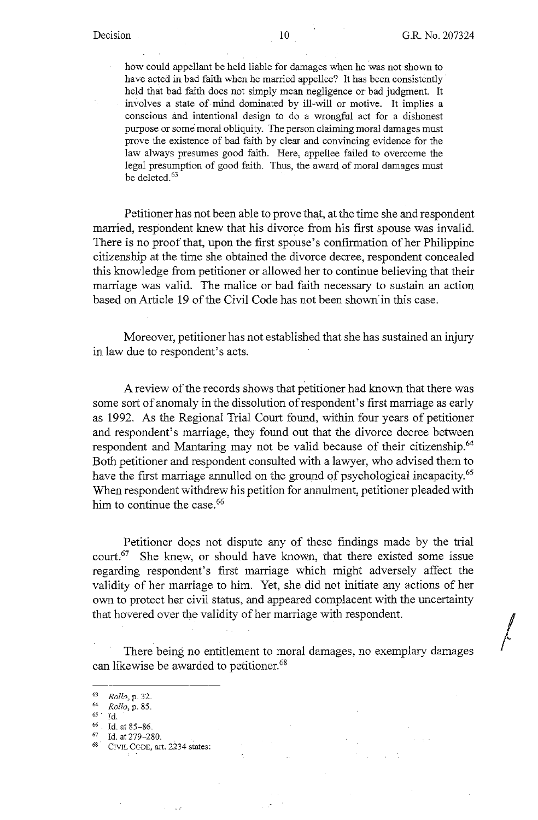$\begin{matrix} \end{matrix}$ 

how could appellant be held liable for damages when he was not shown to have acted in bad faith when he married appellee? It has been consistently held that bad faith does not simply mean negligence or bad judgment. It involves a state of-mind dominated by ill-will or motive. It implies a conscious and intentional design to do a wrongful act for a dishonest purpose or some moral obliquity. The person claiming moral damages must prove the existence of bad faith by clear and convincing evidence for the law always presumes good faith. Here, appellee failed to overcome the legal presumption of good faith. Thus, the award of moral damages must be deleted.<sup>63</sup>

Petitioner has not been able to prove that, at the time she and respondent married, respondent knew that his divorce from his first spouse was invalid. There is no proof that, upon the first spouse's confirmation of her Philippine citizenship at the time she obtained the divorce decree, respondent concealed this knowledge from petitioner or allowed her to continue believing that their marriage was valid. The malice or bad faith necessary to sustain an action based on Article 19 of the Civil Code has not been shown in this case.

Moreover, petitioner has not established that she has sustained an injury in law due to respondent's acts.

A review of the records shows that petitioner had known that there was some sort of anomaly in the dissolution of respondent's first marriage as early as 1992. As the Regional Trial Court found, within four years of petitioner and respondent's marriage, they found out that the divorce decree between respondent and Mantaring may not be valid because of their citizenship.<sup>64</sup> Both petitioner and respondent consulted with a lawyer, who advised them to have the first marriage annulled on the ground of psychological incapacity. <sup>65</sup> Wben respondent withdrew his petition for annulment, petitioner pleaded with him to continue the case.<sup>66</sup>

Petitioner does not dispute any of these findings made by the trial court.<sup>67</sup> She knew, or should have known, that there existed some issue regarding respondent's first marriage which might adversely affect the validity of her marriage to him. Yet, she did not initiate any actions of her own to protect her civil status, and appeared complacent with the uncertainty that hovered over the validity of her marriage with respondent.

There being no entitlement to moral damages, no exemplary damages can likewise be awarded to petitioner.<sup>68</sup>

- 
- $^{66}$  Id. at 85-86.<br><sup>67</sup> Id. at 279-280.
- 68 . CIVIL CODE, art. 2234 states:

 $\mathbb{R}^2$ 

<sup>63</sup>*Rol!o,* p. 32. 64 *Rollo,* **p. 85.** 

<sup>6</sup>s . **Id.**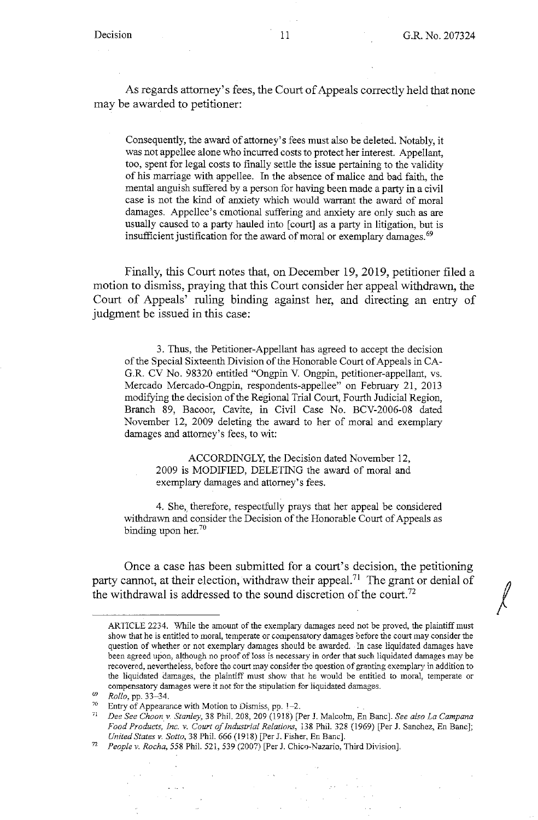As regards attorney's fees, the Court of Appeals correctly held that none may be awarded to petitioner:

Consequently, the award of attorney's fees must also be deleted. Notably, it was not appellee alone who incurred costs to protect her interest. Appellant, too, spent for legal costs to finally settle the issue pertaining to the validity of his marriage with appellee. In the absence of malice and bad faith, the mental anguish suffered by a person for having been made a party in a civil case is not the kind of anxiety which would warrant the award of moral damages. Appellee's emotional suffering and anxiety are only such as are usually caused to a party hauled into [court] as a party in litigation, but is insufficient justification for the award of moral or exemplary damages. 69

Finally, this Court notes that, on December 19, 2019, petitioner filed a motion to dismiss, praying that this Court consider her appeal withdrawn, the Court of Appeals' ruling binding against her, and directing an entry of judgment be issued in this case:

3. Thus, the Petitioner-Appellant has agreed to accept the decision of the Special Sixteenth Division of the Honorable Court of Appeals in CA-G.R. CV No. 98320 entitled "Ongpin V. Ongpin, petitioner-appellant, vs. Mercado Mercado-Ongpin, respondents-appellee" on February 21, 2013 modifying the decision of the Regional Trial Court, Fourth Judicial Region, Branch 89, Bacoor, Cavite, in Civil Case No. BCV-2006-08 dated November 12, 2009 deleting the award to her of moral and exemplary damages and attorney's fees, to wit:

ACCORDINGLY, the Decision dated November 12, 2009 is MODIFIED, DELETING the award of moral and exemplary damages and attorney's fees.

4. She, therefore, respectfully prays that her appeal be considered withdrawn and consider the Decision of the Honorable Court of Appeals as binding upon her.<sup>70</sup>

Once a case has been submitted for a court's decision, the petitioning the withdrawal is addressed to the sound discretion of the court.<sup>72</sup> party cannot, at their election, withdraw their appeal.<sup>71</sup> The grant or denial of

ARTICLE 2234. While the amount of the exemplary damages need not be proved, the plaintiff must **show that he is entitled to moral, temperate or compensatory damages before the court may consider the**  question of whether or not exemplary damages should be awarded. In case liquidated damages have been agreed upon, although no proof of loss is necessary in order that such liquidated damages may be **recovered, nevertheless, before the court may consider the question of granting exemplary in addition to**  the liquidated damages, the plaintiff must show that he would be entitled to moral, temperate or compensatory damages were it not for the stipulation for liquidated damages.

<sup>69</sup>*Rollo,* **pp. 33-34.** 

<sup>70</sup>Entry of Appearance with Motion to Dismiss, pp. '-2. 71 *Dee* See *Choon\_ v. Stanley,* 38 Phil. 208, 209 (I 918) [Per J. Malcolm, En Banc]. See *also La Campana Food Products, Inc. v. Court of Industrial Relations,* 138 Phil. 328 (1969) [Per J. Sanchez, En Banc]; *United States v. Sotto,* 38 Phil. 666 (1918) [Per J. Fisher, En Banc].

<sup>72</sup> *People v. Rocha,* 558 Phil. 521, 539 (2007) [Per J. Chico-Nazario, Third Division].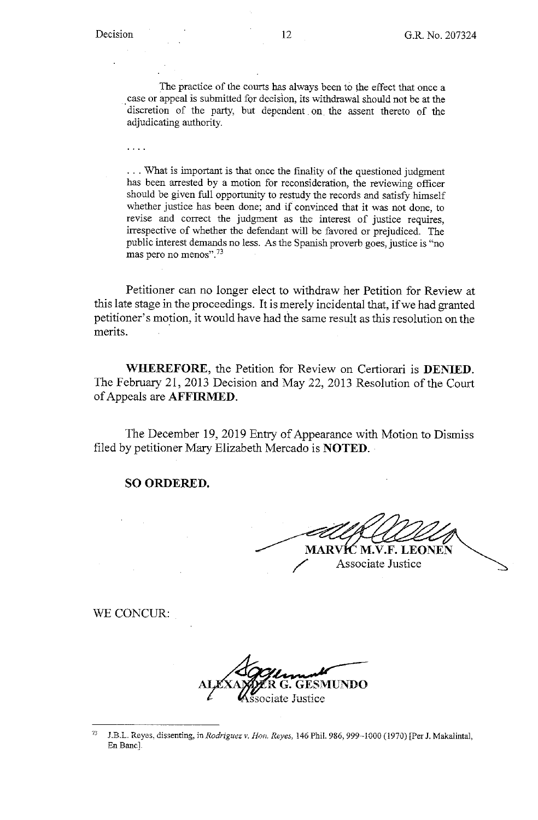. . . .

The practice of the courts has always been to the effect that once a case or appeal is submitted for decision, its withdrawal should not be at the discretion of the party, but dependent . on the assent thereto of the adjudicating authority.

... What is important is that once the finality of the questioned judgment has been arrested by a motion for reconsideration, the reviewing officer should be given full opportunity to restudy the records and satisfy himself whether justice has been done; and if convinced that it was not done, to revise and correct the judgment as the interest of justice requires, irrespective of whether the defendant will be favored or prejudiced. The public interest demands no less. As the Spanish proverb goes, justice is "no mas pero no menos".<sup>73</sup>

Petitioner can no longer elect to withdraw her Petition for Review at this late stage in the proceedings. It is merely incidental that, if we had granted petitioner's motion, it would have had the same result as this resolution on the merits.

**WHEREFORE,** the Petition for Review on Certiorari is **DENIED.**  The February 21, 2013 Decision and May 22, 2013 Resolution of the Court of Appeals are **AFFIRMED.** 

The December 19, 2019 Entry of Appearance with Motion to Dismiss filed by petitioner Mary Elizabeth Mercado is **NOTED**.

## **SO ORDERED.**

MARVÍĆ M.V.F. LEO

Associate Justice

WE CONCUR:

**ALEXAMPER** ~ **G. GESMUN-00**  ociate Justice

J.B.L. Reyes, dissenting, in *Rodriguez v. Hon. Reyes*, 146 Phil. 986, 999-1000 (1970) [Per J. Makalintal, En Banc].